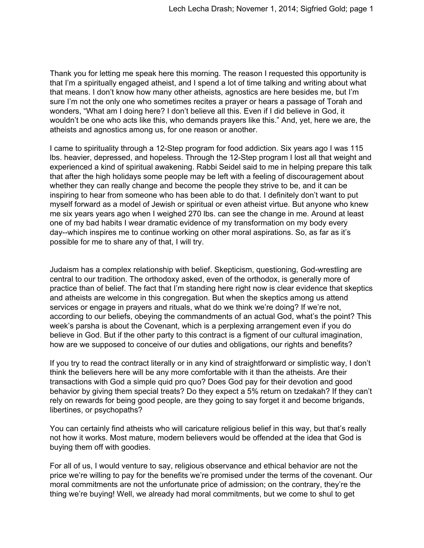Thank you for letting me speak here this morning. The reason I requested this opportunity is that I'm a spiritually engaged atheist, and I spend a lot of time talking and writing about what that means. I don't know how many other atheists, agnostics are here besides me, but I'm sure I'm not the only one who sometimes recites a prayer or hears a passage of Torah and wonders, "What am I doing here? I don't believe all this. Even if I did believe in God, it wouldn't be one who acts like this, who demands prayers like this." And, yet, here we are, the atheists and agnostics among us, for one reason or another.

I came to spirituality through a 12-Step program for food addiction. Six years ago I was 115 lbs. heavier, depressed, and hopeless. Through the 12-Step program I lost all that weight and experienced a kind of spiritual awakening. Rabbi Seidel said to me in helping prepare this talk that after the high holidays some people may be left with a feeling of discouragement about whether they can really change and become the people they strive to be, and it can be inspiring to hear from someone who has been able to do that. I definitely don't want to put myself forward as a model of Jewish or spiritual or even atheist virtue. But anyone who knew me six years years ago when I weighed 270 lbs. can see the change in me. Around at least one of my bad habits I wear dramatic evidence of my transformation on my body every day--which inspires me to continue working on other moral aspirations. So, as far as it's possible for me to share any of that, I will try.

Judaism has a complex relationship with belief. Skepticism, questioning, Godwrestling are central to our tradition. The orthodoxy asked, even of the orthodox, is generally more of practice than of belief. The fact that I'm standing here right now is clear evidence that skeptics and atheists are welcome in this congregation. But when the skeptics among us attend services or engage in prayers and rituals, what do we think we're doing? If we're not, according to our beliefs, obeying the commandments of an actual God, what's the point? This week's parsha is about the Covenant, which is a perplexing arrangement even if you do believe in God. But if the other party to this contract is a figment of our cultural imagination, how are we supposed to conceive of our duties and obligations, our rights and benefits?

If you try to read the contract literally or in any kind of straightforward or simplistic way, I don't think the believers here will be any more comfortable with it than the atheists. Are their transactions with God a simple quid pro quo? Does God pay for their devotion and good behavior by giving them special treats? Do they expect a 5% return on tzedakah? If they can't rely on rewards for being good people, are they going to say forget it and become brigands, libertines, or psychopaths?

You can certainly find atheists who will caricature religious belief in this way, but that's really not how it works. Most mature, modern believers would be offended at the idea that God is buying them off with goodies.

For all of us, I would venture to say, religious observance and ethical behavior are not the price we're willing to pay for the benefits we're promised under the terms of the covenant. Our moral commitments are not the unfortunate price of admission; on the contrary, they're the thing we're buying! Well, we already had moral commitments, but we come to shul to get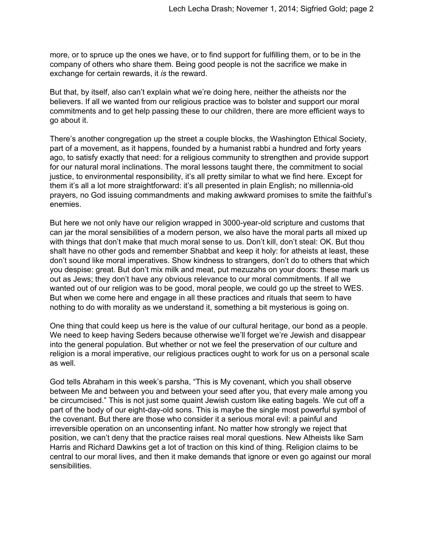more, or to spruce up the ones we have, or to find support for fulfilling them, or to be in the company of others who share them. Being good people is not the sacrifice we make in exchange for certain rewards, it *is* the reward.

But that, by itself, also can't explain what we're doing here, neither the atheists nor the believers. If all we wanted from our religious practice was to bolster and support our moral commitments and to get help passing these to our children, there are more efficient ways to go about it.

There's another congregation up the street a couple blocks, the Washington Ethical Society, part of a movement, as it happens, founded by a humanist rabbi a hundred and forty years ago, to satisfy exactly that need: for a religious community to strengthen and provide support for our natural moral inclinations. The moral lessons taught there, the commitment to social justice, to environmental responsibility, it's all pretty similar to what we find here. Except for them it's all a lot more straightforward: it's all presented in plain English; no millennia-old prayers, no God issuing commandments and making awkward promises to smite the faithful's enemies.

But here we not only have our religion wrapped in 3000-year-old scripture and customs that can jar the moral sensibilities of a modern person, we also have the moral parts all mixed up with things that don't make that much moral sense to us. Don't kill, don't steal: OK. But thou shalt have no other gods and remember Shabbat and keep it holy: for atheists at least, these don't sound like moral imperatives. Show kindness to strangers, don't do to others that which you despise: great. But don't mix milk and meat, put mezuzahs on your doors: these mark us out as Jews; they don't have any obvious relevance to our moral commitments. If all we wanted out of our religion was to be good, moral people, we could go up the street to WES. But when we come here and engage in all these practices and rituals that seem to have nothing to do with morality as we understand it, something a bit mysterious is going on.

One thing that could keep us here is the value of our cultural heritage, our bond as a people. We need to keep having Seders because otherwise we'll forget we're Jewish and disappear into the general population. But whether or not we feel the preservation of our culture and religion is a moral imperative, our religious practices ought to work for us on a personal scale as well.

God tells Abraham in this week's parsha, "This is My covenant, which you shall observe between Me and between you and between your seed after you, that every male among you be circumcised." This is not just some quaint Jewish custom like eating bagels. We cut off a part of the body of our eight-day-old sons. This is maybe the single most powerful symbol of the covenant. But there are those who consider it a serious moral evil: a painful and irreversible operation on an unconsenting infant. No matter how strongly we reject that position, we can't deny that the practice raises real moral questions. New Atheists like Sam Harris and Richard Dawkins get a lot of traction on this kind of thing. Religion claims to be central to our moral lives, and then it make demands that ignore or even go against our moral sensibilities.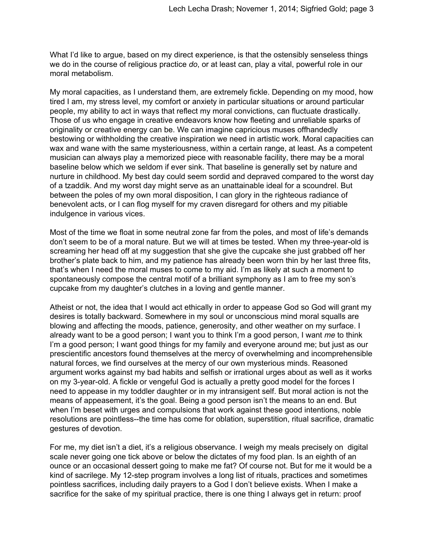What I'd like to argue, based on my direct experience, is that the ostensibly senseless things we do in the course of religious practice *do*, or at least can, play a vital, powerful role in our moral metabolism.

My moral capacities, as I understand them, are extremely fickle. Depending on my mood, how tired I am, my stress level, my comfort or anxiety in particular situations or around particular people, my ability to act in ways that reflect my moral convictions, can fluctuate drastically. Those of us who engage in creative endeavors know how fleeting and unreliable sparks of originality or creative energy can be. We can imagine capricious muses offhandedly bestowing or withholding the creative inspiration we need in artistic work. Moral capacities can wax and wane with the same mysteriousness, within a certain range, at least. As a competent musician can always play a memorized piece with reasonable facility, there may be a moral baseline below which we seldom if ever sink. That baseline is generally set by nature and nurture in childhood. My best day could seem sordid and depraved compared to the worst day of a tzaddik. And my worst day might serve as an unattainable ideal for a scoundrel. But between the poles of my own moral disposition, I can glory in the righteous radiance of benevolent acts, or I can flog myself for my craven disregard for others and my pitiable indulgence in various vices.

Most of the time we float in some neutral zone far from the poles, and most of life's demands don't seem to be of a moral nature. But we will at times be tested. When my three-year-old is screaming her head off at my suggestion that she give the cupcake she just grabbed off her brother's plate back to him, and my patience has already been worn thin by her last three fits, that's when I need the moral muses to come to my aid. I'm as likely at such a moment to spontaneously compose the central motif of a brilliant symphony as I am to free my son's cupcake from my daughter's clutches in a loving and gentle manner.

Atheist or not, the idea that I would act ethically in order to appease God so God will grant my desires is totally backward. Somewhere in my soul or unconscious mind moral squalls are blowing and affecting the moods, patience, generosity, and other weather on my surface. I already want to be a good person; I want you to think I'm a good person, I want *me* to think I'm a good person; I want good things for my family and everyone around me; but just as our prescientific ancestors found themselves at the mercy of overwhelming and incomprehensible natural forces, we find ourselves at the mercy of our own mysterious minds. Reasoned argument works against my bad habits and selfish or irrational urges about as well as it works on my 3-year-old. A fickle or vengeful God is actually a pretty good model for the forces I need to appease in my toddler daughter or in my intransigent self. But moral action is not the means of appeasement, it's the goal. Being a good person isn't the means to an end. But when I'm beset with urges and compulsions that work against these good intentions, noble resolutions are pointless--the time has come for oblation, superstition, ritual sacrifice, dramatic gestures of devotion.

For me, my diet isn't a diet, it's a religious observance. I weigh my meals precisely on digital scale never going one tick above or below the dictates of my food plan. Is an eighth of an ounce or an occasional dessert going to make me fat? Of course not. But for me it would be a kind of sacrilege. My 12-step program involves a long list of rituals, practices and sometimes pointless sacrifices, including daily prayers to a God I don't believe exists. When I make a sacrifice for the sake of my spiritual practice, there is one thing I always get in return: proof